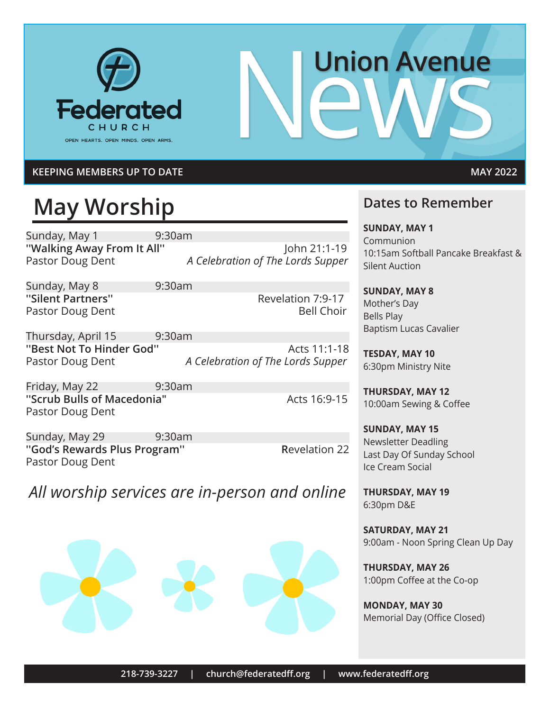

# **Union Avenue**

#### **KEEPING MEMBERS UP TO DATE MAY 2022**

# **May Worship**

Sunday, May 1 9:30am

**''Walking Away From It All''** John 21:1-19 Pastor Doug Dent *A Celebration of The Lords Supper*

Sunday, May 8 9:30am **''Silent Partners''** The Revelation 7:9-17 Pastor Doug Dent Bell Choir

Thursday, April 15 9:30am **''Best Not To Hinder God''** Acts 11:1-18 Pastor Doug Dent *A Celebration of The Lords Supper*

Friday, May 22 9:30am **"Scrub Bulls of Macedonia" Acts 16:9-15** Pastor Doug Dent

Sunday, May 29 9:30am **''God's Rewards Plus Program'' R**evelation 22 Pastor Doug Dent

*All worship services are in-person and online*



#### **Dates to Remember**

**SUNDAY, MAY 1** Communion 10:15am Softball Pancake Breakfast & Silent Auction

**SUNDAY, MAY 8** Mother's Day Bells Play Baptism Lucas Cavalier

**TESDAY, MAY 10** 6:30pm Ministry Nite

**THURSDAY, MAY 12** 10:00am Sewing & Coffee

**SUNDAY, MAY 15** Newsletter Deadling Last Day Of Sunday School Ice Cream Social

**THURSDAY, MAY 19** 6:30pm D&E

**SATURDAY, MAY 21** 9:00am - Noon Spring Clean Up Day

**THURSDAY, MAY 26** 1:00pm Coffee at the Co-op

**MONDAY, MAY 30** Memorial Day (Office Closed)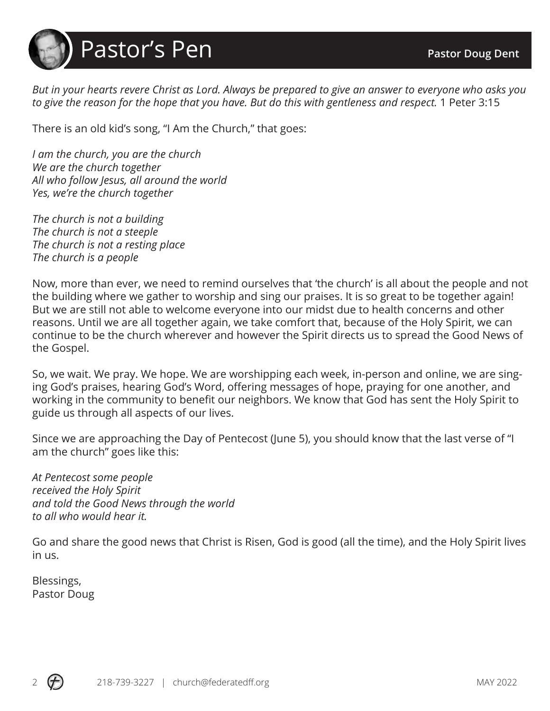

*But in your hearts revere Christ as Lord. Always be prepared to give an answer to everyone who asks you to give the reason for the hope that you have. But do this with gentleness and respect.* 1 Peter 3:15

There is an old kid's song, "I Am the Church," that goes:

*I am the church, you are the church We are the church together All who follow Jesus, all around the world Yes, we're the church together*

*The church is not a building The church is not a steeple The church is not a resting place The church is a people*

Now, more than ever, we need to remind ourselves that 'the church' is all about the people and not the building where we gather to worship and sing our praises. It is so great to be together again! But we are still not able to welcome everyone into our midst due to health concerns and other reasons. Until we are all together again, we take comfort that, because of the Holy Spirit, we can continue to be the church wherever and however the Spirit directs us to spread the Good News of the Gospel.

So, we wait. We pray. We hope. We are worshipping each week, in-person and online, we are singing God's praises, hearing God's Word, offering messages of hope, praying for one another, and working in the community to benefit our neighbors. We know that God has sent the Holy Spirit to guide us through all aspects of our lives.

Since we are approaching the Day of Pentecost (June 5), you should know that the last verse of "I am the church" goes like this:

*At Pentecost some people received the Holy Spirit and told the Good News through the world to all who would hear it.*

Go and share the good news that Christ is Risen, God is good (all the time), and the Holy Spirit lives in us.

Blessings, Pastor Doug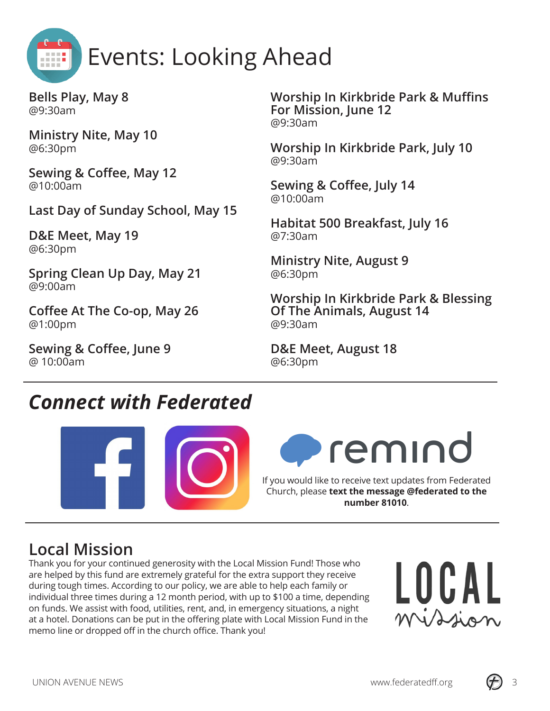

**Bells Play, May 8** @9:30am

**Ministry Nite, May 10** @6:30pm

**Sewing & Coffee, May 12** @10:00am

**Last Day of Sunday School, May 15**

**D&E Meet, May 19** @6:30pm

**Spring Clean Up Day, May 21** @9:00am

**Coffee At The Co-op, May 26** @1:00pm

**Sewing & Coffee, June 9** @ 10:00am

**Worship In Kirkbride Park & Muffins For Mission, June 12** @9:30am

**Worship In Kirkbride Park, July 10** @9:30am

**Sewing & Coffee, July 14** @10:00am

**Habitat 500 Breakfast, July 16** @7:30am

**Ministry Nite, August 9** @6:30pm

**Worship In Kirkbride Park & Blessing Of The Animals, August 14** @9:30am

**D&E Meet, August 18** @6:30pm

# *Connect with Federated*





If you would like to receive text updates from Federated Church, please **text the message @federated to the number 81010**.

# **Local Mission**

Thank you for your continued generosity with the Local Mission Fund! Those who are helped by this fund are extremely grateful for the extra support they receive during tough times. According to our policy, we are able to help each family or individual three times during a 12 month period, with up to \$100 a time, depending on funds. We assist with food, utilities, rent, and, in emergency situations, a night at a hotel. Donations can be put in the offering plate with Local Mission Fund in the memo line or dropped off in the church office. Thank you!



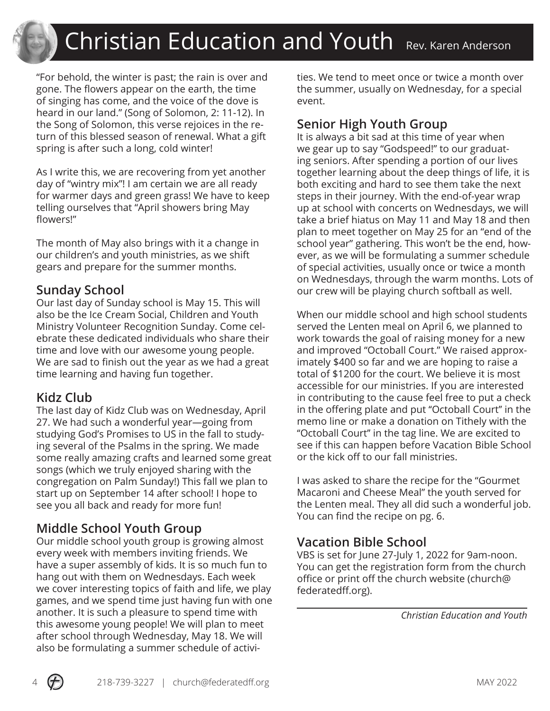"For behold, the winter is past; the rain is over and gone. The flowers appear on the earth, the time of singing has come, and the voice of the dove is heard in our land." (Song of Solomon, 2: 11-12). In the Song of Solomon, this verse rejoices in the return of this blessed season of renewal. What a gift spring is after such a long, cold winter!

As I write this, we are recovering from yet another day of "wintry mix"! I am certain we are all ready for warmer days and green grass! We have to keep telling ourselves that "April showers bring May flowers!"

The month of May also brings with it a change in our children's and youth ministries, as we shift gears and prepare for the summer months.

#### **Sunday School**

Our last day of Sunday school is May 15. This will also be the Ice Cream Social, Children and Youth Ministry Volunteer Recognition Sunday. Come celebrate these dedicated individuals who share their time and love with our awesome young people. We are sad to finish out the year as we had a great time learning and having fun together.

#### **Kidz Club**

The last day of Kidz Club was on Wednesday, April 27. We had such a wonderful year—going from studying God's Promises to US in the fall to studying several of the Psalms in the spring. We made some really amazing crafts and learned some great songs (which we truly enjoyed sharing with the congregation on Palm Sunday!) This fall we plan to start up on September 14 after school! I hope to see you all back and ready for more fun!

#### **Middle School Youth Group**

Our middle school youth group is growing almost every week with members inviting friends. We have a super assembly of kids. It is so much fun to hang out with them on Wednesdays. Each week we cover interesting topics of faith and life, we play games, and we spend time just having fun with one another. It is such a pleasure to spend time with this awesome young people! We will plan to meet after school through Wednesday, May 18. We will also be formulating a summer schedule of activities. We tend to meet once or twice a month over the summer, usually on Wednesday, for a special event.

#### **Senior High Youth Group**

It is always a bit sad at this time of year when we gear up to say "Godspeed!" to our graduating seniors. After spending a portion of our lives together learning about the deep things of life, it is both exciting and hard to see them take the next steps in their journey. With the end-of-year wrap up at school with concerts on Wednesdays, we will take a brief hiatus on May 11 and May 18 and then plan to meet together on May 25 for an "end of the school year" gathering. This won't be the end, however, as we will be formulating a summer schedule of special activities, usually once or twice a month on Wednesdays, through the warm months. Lots of our crew will be playing church softball as well.

When our middle school and high school students served the Lenten meal on April 6, we planned to work towards the goal of raising money for a new and improved "Octoball Court." We raised approximately \$400 so far and we are hoping to raise a total of \$1200 for the court. We believe it is most accessible for our ministries. If you are interested in contributing to the cause feel free to put a check in the offering plate and put ''Octoball Court'' in the memo line or make a donation on Tithely with the ''Octoball Court'' in the tag line. We are excited to see if this can happen before Vacation Bible School or the kick off to our fall ministries.

I was asked to share the recipe for the "Gourmet Macaroni and Cheese Meal" the youth served for the Lenten meal. They all did such a wonderful job. You can find the recipe on pg. 6.

#### **Vacation Bible School**

VBS is set for June 27-July 1, 2022 for 9am-noon. You can get the registration form from the church office or print off the church website (church@ federatedff.org).

 *Christian Education and Youth*

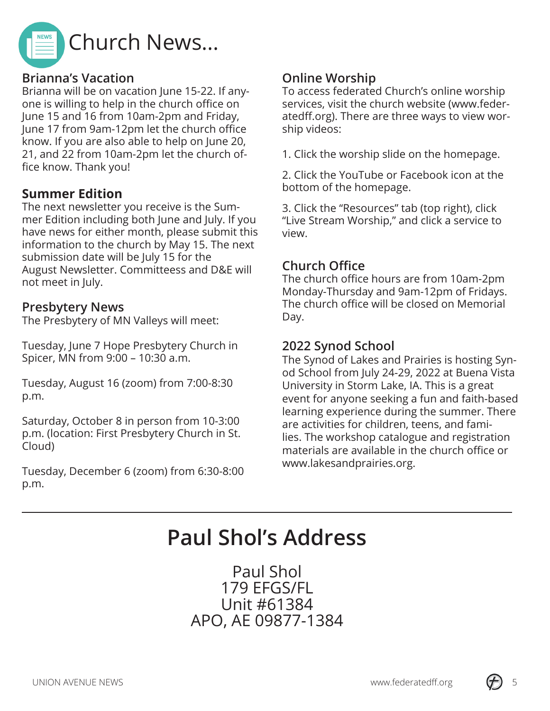

#### **Brianna's Vacation**

Brianna will be on vacation June 15-22. If anyone is willing to help in the church office on June 15 and 16 from 10am-2pm and Friday, June 17 from 9am-12pm let the church office know. If you are also able to help on June 20, 21, and 22 from 10am-2pm let the church office know. Thank you!

#### **Summer Edition**

The next newsletter you receive is the Summer Edition including both June and July. If you have news for either month, please submit this information to the church by May 15. The next submission date will be July 15 for the August Newsletter. Committeess and D&E will not meet in July.

#### **Presbytery News**

The Presbytery of MN Valleys will meet:

Tuesday, June 7 Hope Presbytery Church in Spicer, MN from 9:00 – 10:30 a.m.

Tuesday, August 16 (zoom) from 7:00-8:30 p.m.

Saturday, October 8 in person from 10-3:00 p.m. (location: First Presbytery Church in St. Cloud)

Tuesday, December 6 (zoom) from 6:30-8:00 p.m.

#### **Online Worship**

To access federated Church's online worship services, visit the church website (www.federatedff.org). There are three ways to view worship videos:

1. Click the worship slide on the homepage.

2. Click the YouTube or Facebook icon at the bottom of the homepage.

3. Click the "Resources" tab (top right), click "Live Stream Worship," and click a service to view.

#### **Church Office**

The church office hours are from 10am-2pm Monday-Thursday and 9am-12pm of Fridays. The church office will be closed on Memorial Day.

#### **2022 Synod School**

The Synod of Lakes and Prairies is hosting Synod School from July 24-29, 2022 at Buena Vista University in Storm Lake, IA. This is a great event for anyone seeking a fun and faith-based learning experience during the summer. There are activities for children, teens, and families. The workshop catalogue and registration materials are available in the church office or www.lakesandprairies.org.

# **Paul Shol's Address**

Paul Shol 179 EFGS/FL Unit #61384 APO, AE 09877-1384

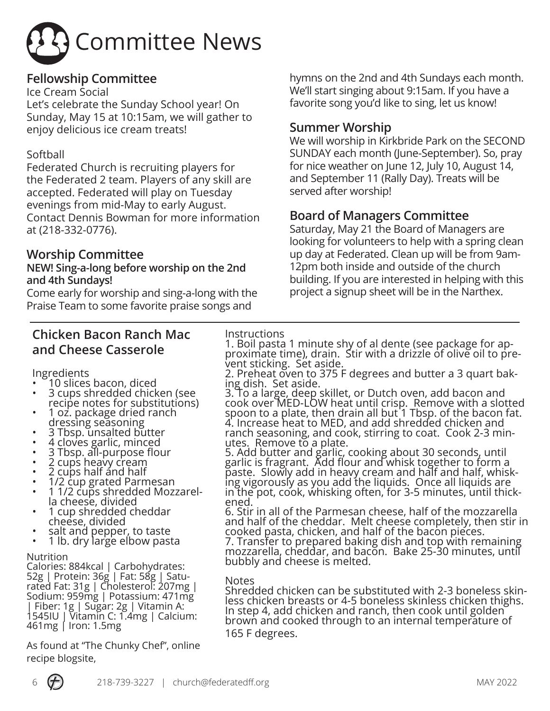

#### **Fellowship Committee**

Ice Cream Social

Let's celebrate the Sunday School year! On Sunday, May 15 at 10:15am, we will gather to enjoy delicious ice cream treats!

#### Softball

Federated Church is recruiting players for the Federated 2 team. Players of any skill are accepted. Federated will play on Tuesday evenings from mid-May to early August. Contact Dennis Bowman for more information at (218-332-0776).

#### **Worship Committee**

#### **NEW! Sing-a-long before worship on the 2nd and 4th Sundays!**

Come early for worship and sing-a-long with the Praise Team to some favorite praise songs and

#### **Chicken Bacon Ranch Mac and Cheese Casserole**

Ingredients

- 
- 10 slices bacon, diced 3 cups shredded chicken (see
- recipe notes for substitutions)<br>1 oz. package dried ranch<br>dressing seasoning
- 
- 
- 
- 
- 
- 
- 3 Tbsp. unsalted butter<br>• 4 cloves garlic, minced<br>• 3 Tbsp. all-purpose flour<br>• 2 cups haavy cream<br>• 2 cups half and half<br>• 1/2 cup grated Parmesan<br>• 1 1/2 cups shredded Mozzarel-<br>• 1 cup shredded cheddar<br>• 1 cup shredde
- 
- salt and pepper, to taste<br>1 lb. dry large elbow pasta
- 

Nutrition

Calories: 884kcal | Carbohydrates: 52g | Protein: 36g | Fat: 58g | Saturated Fat: 31g | Cholesterol: 207mg | Sodium: 959mg | Potassium: 471mg | Fiber: 1g | Sugar: 2g | Vitamin A: 1545IU | Vitamin C: 1.4mg | Calcium: 461mg | Iron: 1.5mg

As found at "The Chunky Chef", online recipe blogsite,

hymns on the 2nd and 4th Sundays each month. We'll start singing about 9:15am. If you have a favorite song you'd like to sing, let us know!

#### **Summer Worship**

We will worship in Kirkbride Park on the SECOND SUNDAY each month (June-September). So, pray for nice weather on June 12, July 10, August 14, and September 11 (Rally Day). Treats will be served after worship!

#### **Board of Managers Committee**

Saturday, May 21 the Board of Managers are looking for volunteers to help with a spring clean up day at Federated. Clean up will be from 9am-12pm both inside and outside of the church building. If you are interested in helping with this project a signup sheet will be in the Narthex.

#### **Instructions**

1. Boil pasta 1 minute shy of al dente (see package for ap-<br>proximate time), drain. Stir with a drizzle of olive oil to pre-<br>vent sticking. Set aside.

2. Preheat oven to 375 F degrees and butter a 3 quart bak-<br>ing dish. Set aside.

3. To a large, deep skillet, or Dutch oven, add bacon and cook over MED-LOW heat until crisp. Remove with a slotted spoon to a plate, then drain all but 1 Tbsp. of the bacon fat. 4. Increase heat to MED, and add shredded chicken and ranch seasoning, and cook, stirring to coat. Cook 2-3 min- utes. Remove to a plate.

5. Add butter and garlic, cooking about 30 seconds, until garlic is fragrant. Add flour and whisk together to form a paste. Slowly add in heavy cream and half and half, whisk-<br>ing vigorously as you add the liquids. Once all liquids are in the pot, cook, whisking often, for 3-5 minutes, until thick-<br>ened.

6. Stir in all of the Parmesan cheese, half of the mozzarella and half of the cheddar. Melt cheese completely, then stir in cooked pasta, chicken, and half of the bacon pieces. 7. Transfer to prepared baking dish and top with remaining mozzarella, cheddar, and bacon. Bake 25-30 minutes, until bubbly and cheese is melted.

Notes<br>Shredded chicken can be substituted with 2-3 boneless skin-Shredded chicken can be substituted with 2-3 boneless skin-<br>less chicken breasts or 4-5 boneless skinless chicken thighs. In step 4, add chicken and ranch, then cook until golden brown and cooked through to an internal temperature of 165 F degrees.

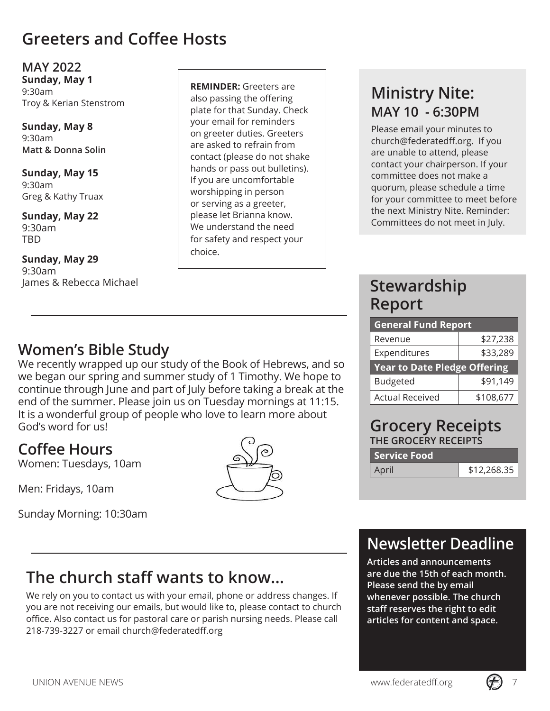### **Greeters and Coffee Hosts**

**MAY 2022 Sunday, May 1** 9:30am Troy & Kerian Stenstrom

**Sunday, May 8** 9:30am **Matt & Donna Solin**

**Sunday, May 15** 9:30am Greg & Kathy Truax

**Sunday, May 22** 9:30am TBD

#### **Sunday, May 29** 9:30am James & Rebecca Michael

**REMINDER:** Greeters are also passing the offering plate for that Sunday. Check your email for reminders on greeter duties. Greeters are asked to refrain from contact (please do not shake hands or pass out bulletins). If you are uncomfortable worshipping in person or serving as a greeter, please let Brianna know. We understand the need for safety and respect your choice.

# **Ministry Nite: MAY 10 - 6:30PM**

Please email your minutes to church@federatedff.org. If you are unable to attend, please contact your chairperson. If your committee does not make a quorum, please schedule a time for your committee to meet before the next Ministry Nite. Reminder: Committees do not meet in July.

# **Stewardship Report**

| <b>General Fund Report</b>          |          |  |  |
|-------------------------------------|----------|--|--|
| Revenue                             | \$27,238 |  |  |
| Expenditures                        | \$33,289 |  |  |
| <b>Year to Date Pledge Offering</b> |          |  |  |
|                                     |          |  |  |
| <b>Budgeted</b>                     | \$91,149 |  |  |

#### **Grocery Receipts THE GROCERY RECEIPTS**

| <b>Service Food</b> |             |
|---------------------|-------------|
| April               | \$12,268.35 |

# **Newsletter Deadline**

**Articles and announcements are due the 15th of each month. Please send the by email whenever possible. The church staff reserves the right to edit articles for content and space.**

## **Women's Bible Study**

We recently wrapped up our study of the Book of Hebrews, and so we began our spring and summer study of 1 Timothy. We hope to continue through June and part of July before taking a break at the end of the summer. Please join us on Tuesday mornings at 11:15. It is a wonderful group of people who love to learn more about God's word for us!

# **Coffee Hours**

Women: Tuesdays, 10am

Men: Fridays, 10am

Sunday Morning: 10:30am

# **The church staff wants to know...**

We rely on you to contact us with your email, phone or address changes. If you are not receiving our emails, but would like to, please contact to church office. Also contact us for pastoral care or parish nursing needs. Please call 218-739-3227 or email church@federatedff.org